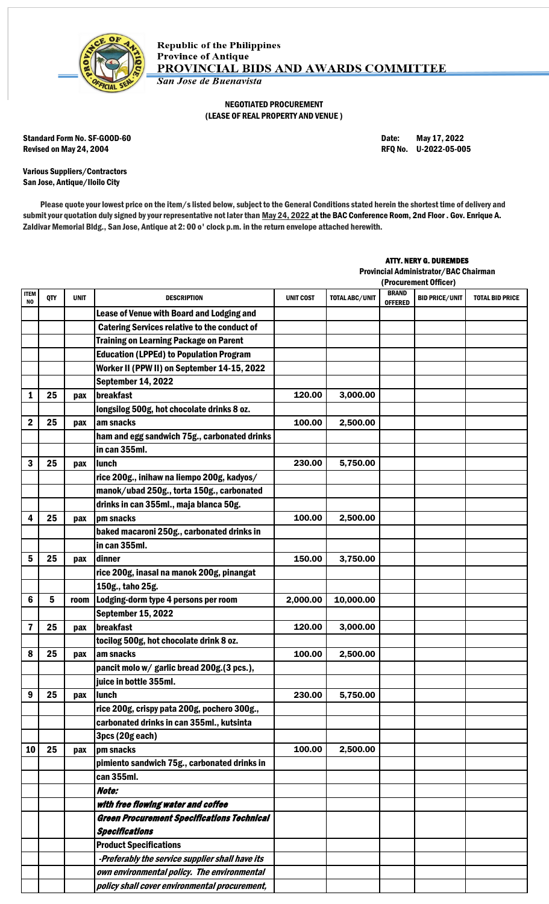

## NEGOTIATED PROCUREMENT (LEASE OF REAL PROPERTY AND VENUE )

Standard Form No. SF-GOOD-60 Date: May 17, 2022 Revised on May 24, 2004 **Review 12 and 2012** RFQ No. U-2022-05-005

Various Suppliers/Contractors San Jose, Antique/Iloilo City

Please quote your lowest price on the item/s listed below, subject to the General Conditions stated herein the shortest time of delivery and submit your quotation duly signed by your representative not later than May 24, 2022 at the BAC Conference Room, 2nd Floor . Gov. Enrique A. Zaldivar Memorial Bldg., San Jose, Antique at 2: 00 o' clock p.m. in the return envelope attached herewith.

## ATTY. NERY G. DUREMDES

Provincial Administrator/BAC Chairman

|                    |     |             |                                                     | (Procurement Officer) |                       |                                |                       |                        |
|--------------------|-----|-------------|-----------------------------------------------------|-----------------------|-----------------------|--------------------------------|-----------------------|------------------------|
| <b>ITEM</b><br>NO. | QTY | <b>UNIT</b> | <b>DESCRIPTION</b>                                  | <b>UNIT COST</b>      | <b>TOTAL ABC/UNIT</b> | <b>BRAND</b><br><b>OFFERED</b> | <b>BID PRICE/UNIT</b> | <b>TOTAL BID PRICE</b> |
|                    |     |             | Lease of Venue with Board and Lodging and           |                       |                       |                                |                       |                        |
|                    |     |             | <b>Catering Services relative to the conduct of</b> |                       |                       |                                |                       |                        |
|                    |     |             | <b>Training on Learning Package on Parent</b>       |                       |                       |                                |                       |                        |
|                    |     |             | <b>Education (LPPEd) to Population Program</b>      |                       |                       |                                |                       |                        |
|                    |     |             | Worker II (PPW II) on September 14-15, 2022         |                       |                       |                                |                       |                        |
|                    |     |             | <b>September 14, 2022</b>                           |                       |                       |                                |                       |                        |
| 1                  | 25  | pax         | breakfast                                           | 120.00                | 3,000.00              |                                |                       |                        |
|                    |     |             | longsilog 500g, hot chocolate drinks 8 oz.          |                       |                       |                                |                       |                        |
| $\mathbf 2$        | 25  | pax         | am snacks                                           | 100.00                | 2,500.00              |                                |                       |                        |
|                    |     |             | ham and egg sandwich 75g., carbonated drinks        |                       |                       |                                |                       |                        |
|                    |     |             | in can 355ml.                                       |                       |                       |                                |                       |                        |
| 3                  | 25  | pax         | <b>lunch</b>                                        | 230.00                | 5,750.00              |                                |                       |                        |
|                    |     |             | rice 200g., inihaw na liempo 200g, kadyos/          |                       |                       |                                |                       |                        |
|                    |     |             | manok/ubad 250g., torta 150g., carbonated           |                       |                       |                                |                       |                        |
|                    |     |             | drinks in can 355ml., maja blanca 50g.              |                       |                       |                                |                       |                        |
| 4                  | 25  | pax         | pm snacks                                           | 100.00                | 2,500.00              |                                |                       |                        |
|                    |     |             | baked macaroni 250g., carbonated drinks in          |                       |                       |                                |                       |                        |
|                    |     |             | in can 355ml.                                       |                       |                       |                                |                       |                        |
| 5                  | 25  | pax         | dinner                                              | 150.00                | 3,750.00              |                                |                       |                        |
|                    |     |             | rice 200g, inasal na manok 200g, pinangat           |                       |                       |                                |                       |                        |
|                    |     |             | 150g., taho 25g.                                    |                       |                       |                                |                       |                        |
| 6                  | 5   | room        | Lodging-dorm type 4 persons per room                | 2,000.00              | 10,000.00             |                                |                       |                        |
|                    |     |             | <b>September 15, 2022</b>                           |                       |                       |                                |                       |                        |
| $\overline{7}$     | 25  | pax         | <b>Ibreakfast</b>                                   | 120.00                | 3,000.00              |                                |                       |                        |
|                    |     |             | tocilog 500g, hot chocolate drink 8 oz.             |                       |                       |                                |                       |                        |
| 8                  | 25  | pax         | am snacks                                           | 100.00                | 2,500.00              |                                |                       |                        |
|                    |     |             | pancit molo w/ garlic bread 200g.(3 pcs.),          |                       |                       |                                |                       |                        |
|                    |     |             | juice in bottle 355ml.                              |                       |                       |                                |                       |                        |
| 9                  | 25  | pax         | <b>Ilunch</b>                                       | 230.00                | 5,750.00              |                                |                       |                        |
|                    |     |             | rice 200g, crispy pata 200g, pochero 300g.,         |                       |                       |                                |                       |                        |
|                    |     |             | carbonated drinks in can 355ml., kutsinta           |                       |                       |                                |                       |                        |
|                    |     |             | 3pcs (20g each)                                     |                       |                       |                                |                       |                        |
| 10                 | 25  | pax         | pm snacks                                           | 100.00                | 2,500.00              |                                |                       |                        |
|                    |     |             | pimiento sandwich 75g., carbonated drinks in        |                       |                       |                                |                       |                        |
|                    |     |             | can 355ml.                                          |                       |                       |                                |                       |                        |
|                    |     |             | Note:                                               |                       |                       |                                |                       |                        |
|                    |     |             | with free flowing water and coffee                  |                       |                       |                                |                       |                        |
|                    |     |             | <b>Green Procurement Specifications Technical</b>   |                       |                       |                                |                       |                        |
|                    |     |             | <b>Specifications</b>                               |                       |                       |                                |                       |                        |
|                    |     |             | <b>Product Specifications</b>                       |                       |                       |                                |                       |                        |
|                    |     |             | -Preferably the service supplier shall have its     |                       |                       |                                |                       |                        |
|                    |     |             | own environmental policy. The environmental         |                       |                       |                                |                       |                        |
|                    |     |             | policy shall cover environmental procurement,       |                       |                       |                                |                       |                        |